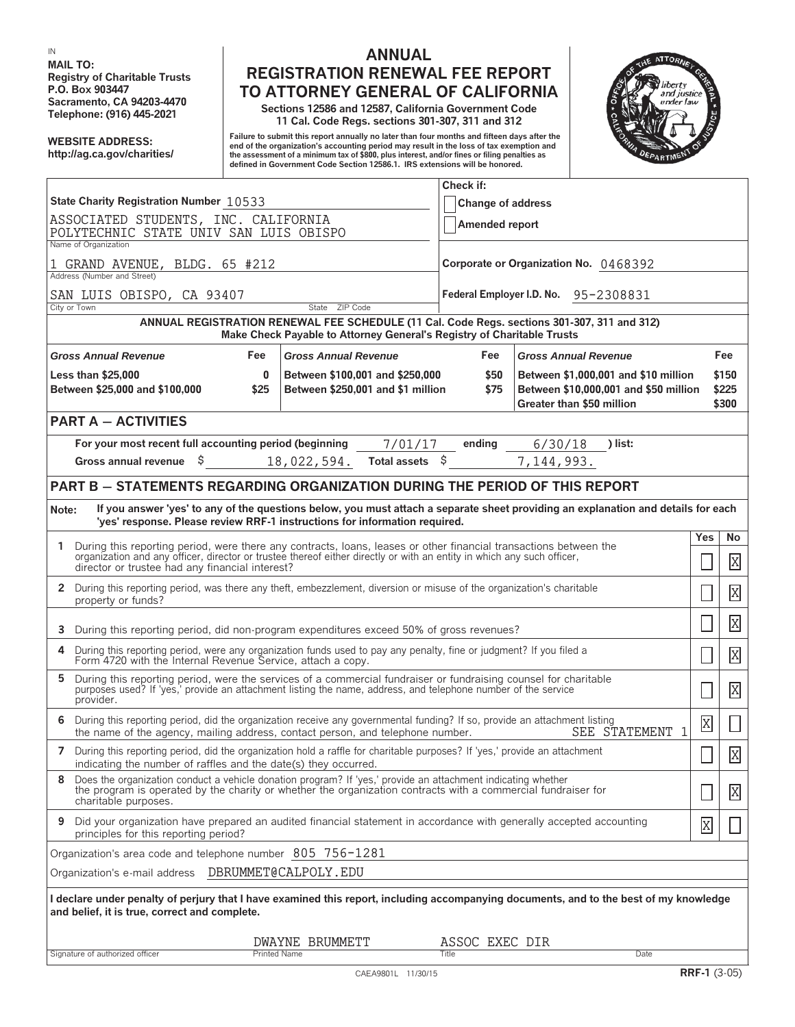**MAIL TO:**

## **IN ANNUAL Registry of Charitable Trusts**<br> **REGISTRATION RENEWAL FEE REPORT**<br> **REGISTRATION RENEWAL FEE REPORT**<br> **REGISTRATION RENERAL OF CALIFORNIA P.O. Box 903447 TO ATTORNEY GENERAL OF CALIFORNIA**

**Sacramento, CA 94203-4470 Sections 12586 and 12587, California Government Code Telephone: (916) 445-2021 11 Cal. Code Regs. sections 301-307, 311 and 312**

Failure to submit this report annually no later than four months and fifteen days after the<br>Internalization's accounting period in the loss of tax exemption and the loss of the loss of the loss of the c<br>Inte assessment of **defined in Government Code Section 12586.1. IRS extensions will be honored.**



|                                                                                                                                                                                                                                                       |                                                                      | Check if:                             |                                                                                                            |                |                         |
|-------------------------------------------------------------------------------------------------------------------------------------------------------------------------------------------------------------------------------------------------------|----------------------------------------------------------------------|---------------------------------------|------------------------------------------------------------------------------------------------------------|----------------|-------------------------|
| State Charity Registration Number 10533                                                                                                                                                                                                               |                                                                      | <b>Change of address</b>              |                                                                                                            |                |                         |
| ASSOCIATED STUDENTS, INC. CALIFORNIA<br>POLYTECHNIC STATE UNIV SAN LUIS OBISPO<br>Name of Organization                                                                                                                                                |                                                                      | Amended report                        |                                                                                                            |                |                         |
| 1 GRAND AVENUE, BLDG. 65 #212                                                                                                                                                                                                                         |                                                                      | Corporate or Organization No. 0468392 |                                                                                                            |                |                         |
| Address (Number and Street)                                                                                                                                                                                                                           |                                                                      |                                       |                                                                                                            |                |                         |
| SAN LUIS OBISPO, CA 93407<br>State ZIP Code<br>City or Town                                                                                                                                                                                           |                                                                      | Federal Employer I.D. No. 95-2308831  |                                                                                                            |                |                         |
| ANNUAL REGISTRATION RENEWAL FEE SCHEDULE (11 Cal. Code Regs. sections 301-307, 311 and 312)<br>Make Check Payable to Attorney General's Registry of Charitable Trusts                                                                                 |                                                                      |                                       |                                                                                                            |                |                         |
| <b>Gross Annual Revenue</b><br>Fee<br><b>Gross Annual Revenue</b>                                                                                                                                                                                     |                                                                      | Fee<br><b>Gross Annual Revenue</b>    |                                                                                                            |                | Fee                     |
| <b>Less than \$25,000</b><br>$\bf{0}$<br>Between \$25,000 and \$100,000<br>\$25                                                                                                                                                                       | Between \$100,001 and \$250,000<br>Between \$250,001 and \$1 million | \$50<br>\$75                          | Between \$1,000,001 and \$10 million<br>Between \$10,000,001 and \$50 million<br>Greater than \$50 million |                | \$150<br>\$225<br>\$300 |
| <b>PART A - ACTIVITIES</b>                                                                                                                                                                                                                            |                                                                      |                                       |                                                                                                            |                |                         |
| For your most recent full accounting period (beginning<br>Gross annual revenue \$                                                                                                                                                                     | 7/01/17<br>Total assets \$<br>18,022,594.                            | ending                                | 6/30/18<br>) list:<br>7, 144, 993.                                                                         |                |                         |
| <b>PART B - STATEMENTS REGARDING ORGANIZATION DURING THE PERIOD OF THIS REPORT</b>                                                                                                                                                                    |                                                                      |                                       |                                                                                                            |                |                         |
| If you answer 'yes' to any of the questions below, you must attach a separate sheet providing an explanation and details for each<br>Note:<br>'yes' response. Please review RRF-1 instructions for information required.                              |                                                                      |                                       |                                                                                                            |                |                         |
| During this reporting period, were there any contracts, loans, leases or other financial transactions between the<br>$\mathbf{1}$                                                                                                                     |                                                                      |                                       |                                                                                                            | Yes            | No                      |
| organization and any officer, director or trustee thereof either directly or with an entity in which any such officer,<br>director or trustee had any financial interest?                                                                             |                                                                      |                                       |                                                                                                            |                | X                       |
| 2 During this reporting period, was there any theft, embezzlement, diversion or misuse of the organization's charitable<br>property or funds?                                                                                                         |                                                                      |                                       |                                                                                                            |                | $\overline{\mathrm{X}}$ |
| During this reporting period, did non-program expenditures exceed 50% of gross revenues?<br>3                                                                                                                                                         |                                                                      |                                       |                                                                                                            |                | $\overline{\mathrm{X}}$ |
| During this reporting period, were any organization funds used to pay any penalty, fine or judgment? If you filed a Form 4720 with the Internal Revenue Service, attach a copy.<br>4                                                                  |                                                                      |                                       |                                                                                                            |                | $\overline{\mathrm{X}}$ |
| During this reporting period, were the services of a commercial fundraiser or fundraising counsel for charitable purposes used? If 'yes,' provide an attachment listing the name, address, and telephone number of the service<br>5<br>provider.      |                                                                      |                                       |                                                                                                            |                | X                       |
| During this reporting period, did the organization receive any governmental funding? If so, provide an attachment listing<br>6<br>SEE STATEMENT<br>1<br>the name of the agency, mailing address, contact person, and telephone number.                |                                                                      |                                       |                                                                                                            | $\overline{X}$ | Ц                       |
| 7 During this reporting period, did the organization hold a raffle for charitable purposes? If 'yes,' provide an attachment<br>indicating the number of raffles and the date(s) they occurred.                                                        |                                                                      |                                       |                                                                                                            |                | X                       |
| Does the organization conduct a vehicle donation program? If 'yes,' provide an attachment indicating whether<br>the program is operated by the charity or whether the organization contracts with a commercial fundraiser for<br>charitable purposes. |                                                                      |                                       |                                                                                                            |                | X                       |
| Did your organization have prepared an audited financial statement in accordance with generally accepted accounting<br>9<br>principles for this reporting period?                                                                                     |                                                                      |                                       |                                                                                                            | X              |                         |
| Organization's area code and telephone number 805 756-1281                                                                                                                                                                                            |                                                                      |                                       |                                                                                                            |                |                         |
| Organization's e-mail address  DBRUMMET@CALPOLY.EDU                                                                                                                                                                                                   |                                                                      |                                       |                                                                                                            |                |                         |
| I declare under penalty of perjury that I have examined this report, including accompanying documents, and to the best of my knowledge<br>and belief, it is true, correct and complete.                                                               |                                                                      |                                       |                                                                                                            |                |                         |
|                                                                                                                                                                                                                                                       | DWAYNE BRUMMETT                                                      | ASSOC EXEC DIR                        |                                                                                                            |                |                         |
| <b>Printed Name</b><br>Signature of authorized officer                                                                                                                                                                                                |                                                                      | Title                                 | Date                                                                                                       |                |                         |